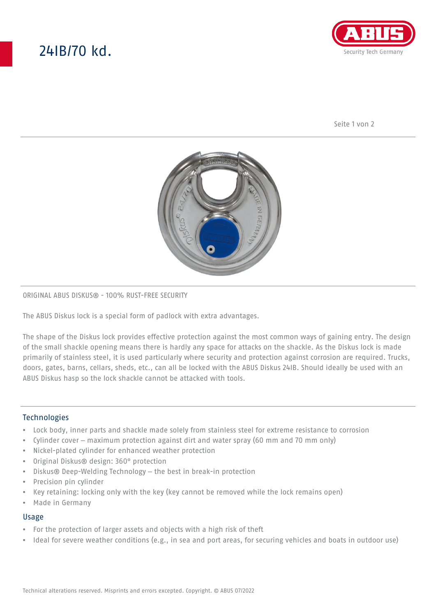# 24IB/70 kd.



Seite 1 von 2



## ORIGINAL ABUS DISKUS® - 100% RUST-FREE SECURITY

The ABUS Diskus lock is a special form of padlock with extra advantages.

The shape of the Diskus lock provides effective protection against the most common ways of gaining entry. The design of the small shackle opening means there is hardly any space for attacks on the shackle. As the Diskus lock is made primarily of stainless steel, it is used particularly where security and protection against corrosion are required. Trucks, doors, gates, barns, cellars, sheds, etc., can all be locked with the ABUS Diskus 24IB. Should ideally be used with an ABUS Diskus hasp so the lock shackle cannot be attacked with tools.

## **Technologies**

- Lock body, inner parts and shackle made solely from stainless steel for extreme resistance to corrosion
- Cylinder cover maximum protection against dirt and water spray (60 mm and 70 mm only)
- Nickel-plated cylinder for enhanced weather protection
- Original Diskus® design: 360° protection
- Diskus® Deep-Welding Technology the best in break-in protection
- Precision pin cylinder
- Key retaining: locking only with the key (key cannot be removed while the lock remains open)
- Made in Germany

#### Usage

- For the protection of larger assets and objects with a high risk of theft
- Ideal for severe weather conditions (e.g., in sea and port areas, for securing vehicles and boats in outdoor use)